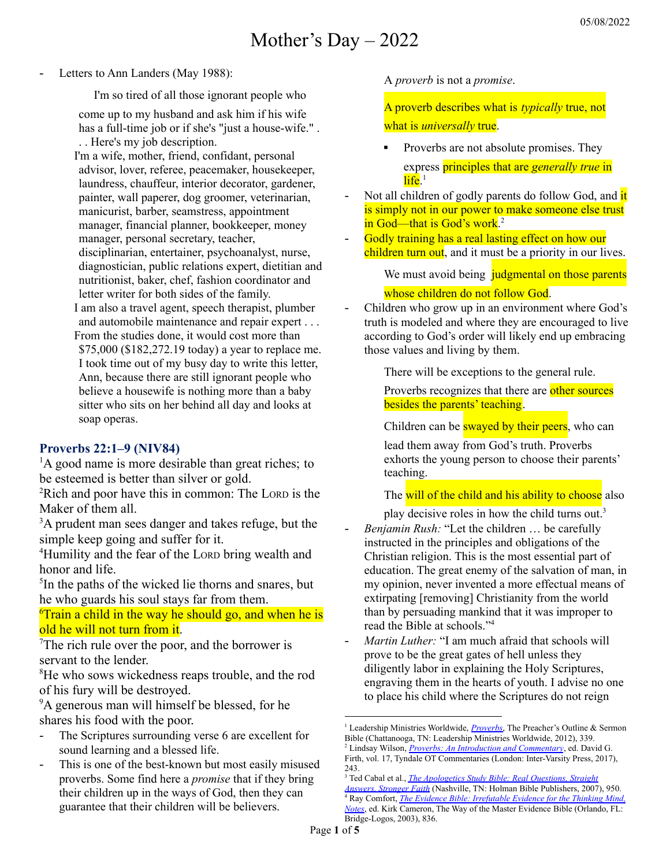Letters to Ann Landers (May 1988):

I'm so tired of all those ignorant people who

come up to my husband and ask him if his wife has a full-time job or if she's "just a house-wife." . . . Here's my job description.

I'm a wife, mother, friend, confidant, personal advisor, lover, referee, peacemaker, housekeeper, laundress, chauffeur, interior decorator, gardener, painter, wall paperer, dog groomer, veterinarian, manicurist, barber, seamstress, appointment manager, financial planner, bookkeeper, money manager, personal secretary, teacher, disciplinarian, entertainer, psychoanalyst, nurse, diagnostician, public relations expert, dietitian and nutritionist, baker, chef, fashion coordinator and letter writer for both sides of the family.

I am also a travel agent, speech therapist, plumber and automobile maintenance and repair expert . . .

From the studies done, it would cost more than \$75,000 (\$182,272.19 today) a year to replace me. I took time out of my busy day to write this letter, Ann, because there are still ignorant people who believe a housewife is nothing more than a baby sitter who sits on her behind all day and looks at soap operas.

#### **Proverbs 22:1–9 (NIV84)**

 ${}^{1}$ A good name is more desirable than great riches; to be esteemed is better than silver or gold.

<sup>2</sup>Rich and poor have this in common: The LORD is the Maker of them all.

<sup>3</sup>A prudent man sees danger and takes refuge, but the simple keep going and suffer for it.

<sup>4</sup>Humility and the fear of the LORD bring wealth and honor and life.

5 In the paths of the wicked lie thorns and snares, but he who guards his soul stays far from them.

 $\frac{6}{1}$ Train a child in the way he should go, and when he is old he will not turn from it.

<sup>7</sup>The rich rule over the poor, and the borrower is servant to the lender.

<sup>8</sup>He who sows wickedness reaps trouble, and the rod of his fury will be destroyed.

<sup>9</sup>A generous man will himself be blessed, for he shares his food with the poor.

- The Scriptures surrounding verse 6 are excellent for sound learning and a blessed life.
- This is one of the best-known but most easily misused proverbs. Some find here a *promise* that if they bring their children up in the ways of God, then they can guarantee that their children will be believers.

A *proverb* is not a *promise*.

A proverb describes what is *typically* true, not what is *universally* true.

- Proverbs are not absolute promises. They express principles that are *generally true* in life.<sup>1</sup>
- Not all children of godly parents do follow God, and it is simply not in our power to make someone else trust in God—that is God's work.<sup>2</sup>
- Godly training has a real lasting effect on how our children turn out, and it must be a priority in our lives.

We must avoid being judgmental on those parents whose children do not follow God.

# Children who grow up in an environment where God's

truth is modeled and where they are encouraged to live according to God's order will likely end up embracing those values and living by them.

There will be exceptions to the general rule.

Proverbs recognizes that there are other sources besides the parents' teaching.

Children can be **swayed by their peers**, who can

lead them away from God's truth. Proverbs exhorts the young person to choose their parents' teaching.

The will of the child and his ability to choose also

play decisive roles in how the child turns out. 3

- *Benjamin Rush:* "Let the children ... be carefully instructed in the principles and obligations of the Christian religion. This is the most essential part of education. The great enemy of the salvation of man, in my opinion, never invented a more effectual means of extirpating [removing] Christianity from the world than by persuading mankind that it was improper to read the Bible at schools." 4
- Martin Luther: "I am much afraid that schools will prove to be the great gates of hell unless they diligently labor in explaining the Holy Scriptures, engraving them in the hearts of youth. I advise no one to place his child where the Scriptures do not reign

<sup>2</sup> Lindsay Wilson, *Proverbs: An Introduction and [Commentary](https://ref.ly/logosres/totc20prwilson?ref=Bible.Pr22.6&off=3&ctx=ties+in+the+way.%0a6.+~This+is+one+of+the+b)*, ed. David G. Firth, vol. 17, Tyndale OT Commentaries (London: Inter-Varsity Press, 2017), 243. <sup>1</sup> Leadership Ministries Worldwide, *[Proverbs](https://ref.ly/logosres/posbkjv20pr?ref=Bible.Pr22.6&off=1278&ctx=s+is+a+proverb%2c+and+~proverbs+are+not+abs)*, The Preacher's Outline & Sermon Bible (Chattanooga, TN: Leadership Ministries Worldwide, 2012), 339.

<sup>4</sup> Ray Comfort, *The Evidence Bible: [Irrefutable](https://ref.ly/logosres/evdncebblents?ref=Bible.Pr22.6&off=28&ctx=ining+our+children.+~%E2%80%9CLet+the+children+%E2%80%A6+) Evidence for the Thinking Mind, [Notes](https://ref.ly/logosres/evdncebblents?ref=Bible.Pr22.6&off=28&ctx=ining+our+children.+~%E2%80%9CLet+the+children+%E2%80%A6+)*, ed. Kirk Cameron, The Way of the Master Evidence Bible (Orlando, FL: Bridge-Logos, 2003), 836. <sup>3</sup> Ted Cabal et al., *The [Apologetics](https://ref.ly/logosres/aplgstdybbl?ref=Bible.Pr22.6&off=80&ctx=f+raising+children.+~Children+who+grow+up) Study Bible: Real Questions, Straight [Answers,](https://ref.ly/logosres/aplgstdybbl?ref=Bible.Pr22.6&off=80&ctx=f+raising+children.+~Children+who+grow+up) Stronger Faith* (Nashville, TN: Holman Bible Publishers, 2007), 950.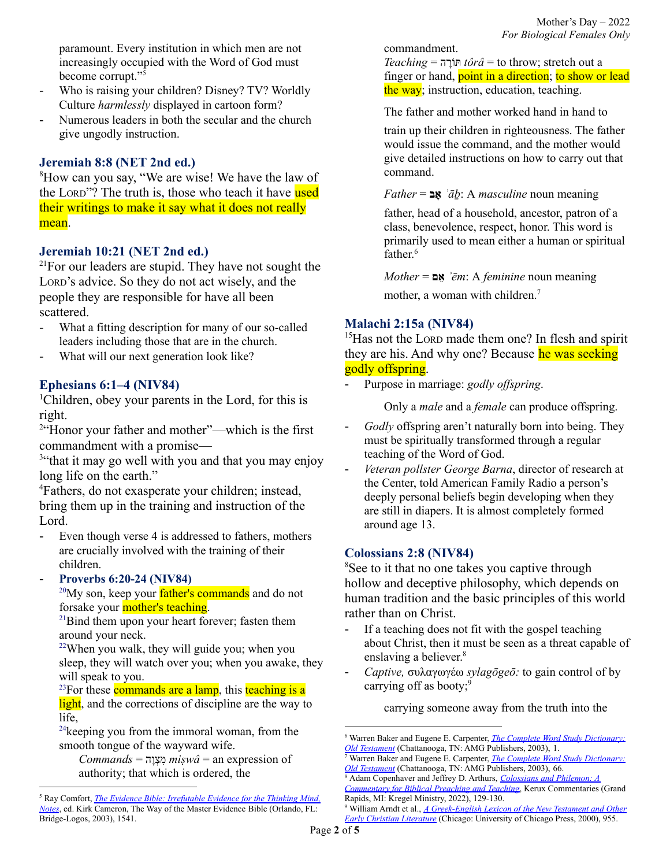paramount. Every institution in which men are not increasingly occupied with the Word of God must become corrupt." 5

- Who is raising your children? Disney? TV? Worldly Culture *harmlessly* displayed in cartoon form?
- Numerous leaders in both the secular and the church give ungodly instruction.

#### **Jeremiah 8:8 (NET 2nd ed.)**

<sup>8</sup>How can you say, "We are wise! We have the law of the LORD"? The truth is, those who teach it have used their writings to make it say what it does not really mean.

## **Jeremiah 10:21 (NET 2nd ed.)**

 $21$ For our leaders are stupid. They have not sought the LORD's advice. So they do not act wisely, and the people they are responsible for have all been scattered.

- What a fitting description for many of our so-called leaders including those that are in the church.
- What will our next generation look like?

## **Ephesians 6:1–4 (NIV84)**

<sup>1</sup>Children, obey your parents in the Lord, for this is right.

<sup>2</sup>"Honor your father and mother"—which is the first commandment with a promise—

<sup>3"</sup>that it may go well with you and that you may enjoy long life on the earth."

<sup>4</sup>Fathers, do not exasperate your children; instead, bring them up in the training and instruction of the Lord.

- Even though verse 4 is addressed to fathers, mothers are crucially involved with the training of their children.

#### - **Proverbs 6:20-24 (NIV84)**

<sup>20</sup>My son, keep your **father's commands** and do not forsake your **mother's teaching**.

<sup>21</sup>Bind them upon your heart forever; fasten them around your neck.

<sup>22</sup>When you walk, they will guide you; when you sleep, they will watch over you; when you awake, they will speak to you.

 $^{23}$ For these commands are a lamp, this teaching is a light, and the corrections of discipline are the way to life,

<sup>24</sup>keeping you from the immoral woman, from the smooth tongue of the wayward wife.

*Commands* = והָצְ מִ *miṣwâ* = an expression of authority; that which is ordered, the

commandment.

*Teaching* = רהָוֹתּ *tôrâ* = to throw; stretch out a finger or hand, **point in a direction**; to show or lead the way; instruction, education, teaching.

The father and mother worked hand in hand to

train up their children in righteousness. The father would issue the command, and the mother would give detailed instructions on how to carry out that command.

#### *Father* = **אבָ** *ʾāḇ*: A *masculine* noun meaning

father, head of a household, ancestor, patron of a class, benevolence, respect, honor. This word is primarily used to mean either a human or spiritual father. 6

*Mother* = **אםֵ** *ʾēm*: A *feminine* noun meaning mother, a woman with children. 7

## **Malachi 2:15a (NIV84)**

<sup>15</sup>Has not the LORD made them one? In flesh and spirit they are his. And why one? Because he was seeking godly offspring.

Purpose in marriage: *godly offspring*.

Only a *male* and a *female* can produce offspring.

- *Godly* offspring aren't naturally born into being. They must be spiritually transformed through a regular teaching of the Word of God.
- *Veteran pollster George Barna*, director of research at the Center, told American Family Radio a person's deeply personal beliefs begin developing when they are still in diapers. It is almost completely formed around age 13.

#### **Colossians 2:8 (NIV84)**

<sup>8</sup>See to it that no one takes you captive through hollow and deceptive philosophy, which depends on human tradition and the basic principles of this world rather than on Christ.

- If a teaching does not fit with the gospel teaching about Christ, then it must be seen as a threat capable of enslaving a believer. 8
- *Captive,* συλαγωγέω *sylagōgeō:* to gain control of by carrying off as booty; 9

carrying someone away from the truth into the

<sup>5</sup> Ray Comfort, *The Evidence Bible: [Irrefutable](https://ref.ly/logosres/evdncebblents?ref=Bible.Eph6.4&off=4&ctx=+see+page+1476.%0a6%3a4+~%E2%80%9CI+am+much+afraid+th) Evidence for the Thinking Mind, [Notes](https://ref.ly/logosres/evdncebblents?ref=Bible.Eph6.4&off=4&ctx=+see+page+1476.%0a6%3a4+~%E2%80%9CI+am+much+afraid+th)*, ed. Kirk Cameron, The Way of the Master Evidence Bible (Orlando, FL: Bridge-Logos, 2003), 1541.

<sup>6</sup> Warren Baker and Eugene E. Carpenter, *The Complete Word Study [Dictionary:](https://ref.ly/logosres/wsotdict?ref=Page.p+1&off=14&ctx=+%0a1.+~%D7%90%D6%B8%D7%91+%CA%BEa%CC%84b%CC%B1%3a+A+masculine+noun+meaning) Old [Testament](https://ref.ly/logosres/wsotdict?ref=Page.p+1&off=14&ctx=+%0a1.+~%D7%90%D6%B8%D7%91+%CA%BEa%CC%84b%CC%B1%3a+A+masculine+noun+meaning)* (Chattanooga, TN: AMG Publishers, 2003), 1.

<sup>8</sup> Adam Copenhaver and Jeffrey D. Arthurs, *[Colossians](https://ref.ly/logosres/cbpt72col?ref=Bible.Col2.8&off=5441&ctx=ttom+line+for+Paul%3a+~if+a+teaching+does+n) and Philemon: A* <sup>7</sup> Warren Baker and Eugene E. Carpenter, *The Complete Word Study [Dictionary:](https://ref.ly/logosres/wsotdict?ref=Page.p+66&off=1515&ctx=+%0a517.+~%D7%90%D6%B5%D7%9D+%CA%BEe%CC%84m%3a+A+feminine+noun+meaning) Old [Testament](https://ref.ly/logosres/wsotdict?ref=Page.p+66&off=1515&ctx=+%0a517.+~%D7%90%D6%B5%D7%9D+%CA%BEe%CC%84m%3a+A+feminine+noun+meaning)* (Chattanooga, TN: AMG Publishers, 2003), 66.

*[Commentary](https://ref.ly/logosres/cbpt72col?ref=Bible.Col2.8&off=5441&ctx=ttom+line+for+Paul%3a+~if+a+teaching+does+n) for Biblical Preaching and Teaching*, Kerux Commentaries (Grand Rapids, MI: Kregel Ministry, 2022), 129-130.

<sup>9</sup> William Arndt et al., *A [Greek-English](https://ref.ly/logosres/bdag?ref=Page.p+955&off=3237&ctx=%CF%83%CF%85%CE%BB%CE%B1%CE%B3%CF%89%CE%B3%CE%B5%CC%81%CF%89+~to+gain+control+of+by+carryin) Lexicon of the New Testament and Other Early Christian [Literature](https://ref.ly/logosres/bdag?ref=Page.p+955&off=3237&ctx=%CF%83%CF%85%CE%BB%CE%B1%CE%B3%CF%89%CE%B3%CE%B5%CC%81%CF%89+~to+gain+control+of+by+carryin)* (Chicago: University of Chicago Press, 2000), 955.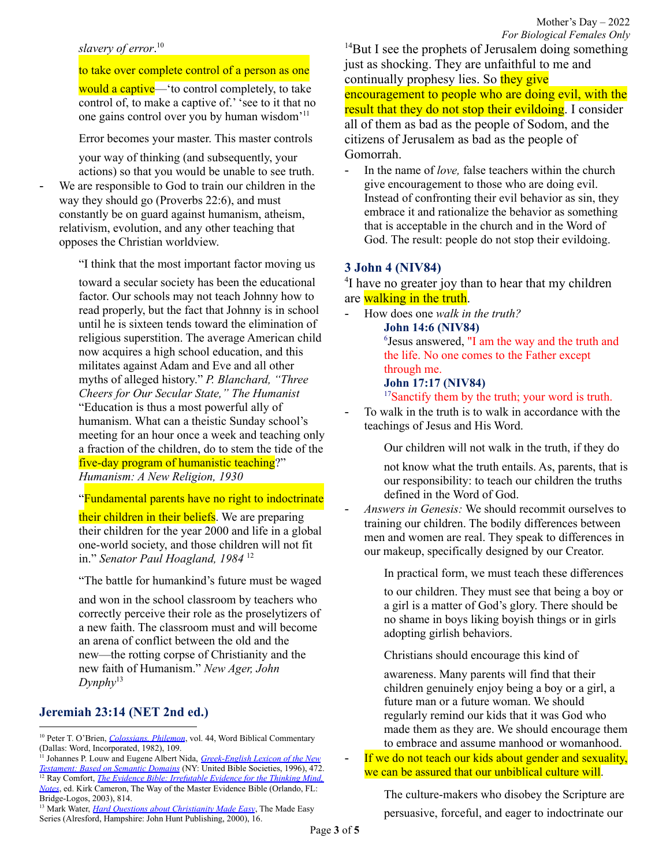#### *slavery of error*. 10

#### to take over complete control of a person as one

would a captive—'to control completely, to take control of, to make a captive of.' 'see to it that no one gains control over you by human wisdom' 11

Error becomes your master. This master controls

your way of thinking (and subsequently, your actions) so that you would be unable to see truth.

We are responsible to God to train our children in the way they should go (Proverbs 22:6), and must constantly be on guard against humanism, atheism, relativism, evolution, and any other teaching that opposes the Christian worldview.

"I think that the most important factor moving us

toward a secular society has been the educational factor. Our schools may not teach Johnny how to read properly, but the fact that Johnny is in school until he is sixteen tends toward the elimination of religious superstition. The average American child now acquires a high school education, and this militates against Adam and Eve and all other myths of alleged history." *P. Blanchard, "Three Cheers for Our Secular State," The Humanist* "Education is thus a most powerful ally of humanism. What can a theistic Sunday school's meeting for an hour once a week and teaching only a fraction of the children, do to stem the tide of the five-day program of humanistic teaching?" *Humanism: A New Religion, 1930*

"Fundamental parents have no right to indoctrinate

their children in their beliefs. We are preparing their children for the year 2000 and life in a global one-world society, and those children will not fit in." *Senator Paul Hoagland, 1984* 12

"The battle for humankind's future must be waged

and won in the school classroom by teachers who correctly perceive their role as the proselytizers of a new faith. The classroom must and will become an arena of conflict between the old and the new—the rotting corpse of Christianity and the new faith of Humanism." *New Ager, John Dynphy* 13

## **Jeremiah 23:14 (NET 2nd ed.)**

 $14$ But I see the prophets of Jerusalem doing something just as shocking. They are unfaithful to me and continually prophesy lies. So they give encouragement to people who are doing evil, with the result that they do not stop their evildoing. I consider all of them as bad as the people of Sodom, and the citizens of Jerusalem as bad as the people of Gomorrah.

In the name of *love*, false teachers within the church give encouragement to those who are doing evil. Instead of confronting their evil behavior as sin, they embrace it and rationalize the behavior as something that is acceptable in the church and in the Word of God. The result: people do not stop their evildoing.

#### **3 John 4 (NIV84)**

<sup>4</sup>I have no greater joy than to hear that my children are walking in the truth.

- How does one *walk in the truth?*
	- **John 14:6 (NIV84)**

<sup>6</sup> Jesus answered, "I am the way and the truth and the life. No one comes to the Father except through me.

## **John 17:17 (NIV84)**

<sup>17</sup>Sanctify them by the truth; your word is truth.

To walk in the truth is to walk in accordance with the teachings of Jesus and His Word.

Our children will not walk in the truth, if they do

not know what the truth entails. As, parents, that is our responsibility: to teach our children the truths defined in the Word of God.

- *Answers in Genesis:* We should recommit ourselves to training our children. The bodily differences between men and women are real. They speak to differences in our makeup, specifically designed by our Creator.

In practical form, we must teach these differences

to our children. They must see that being a boy or a girl is a matter of God's glory. There should be no shame in boys liking boyish things or in girls adopting girlish behaviors.

Christians should encourage this kind of

awareness. Many parents will find that their children genuinely enjoy being a boy or a girl, a future man or a future woman. We should regularly remind our kids that it was God who made them as they are. We should encourage them to embrace and assume manhood or womanhood.

- If we do not teach our kids about gender and sexuality, we can be assured that our unbiblical culture will.

> The culture-makers who disobey the Scripture are persuasive, forceful, and eager to indoctrinate our

<sup>10</sup> Peter T. O'Brien, *[Colossians,](https://ref.ly/logosres/wbc44?ref=Bible.Col2.8&off=1137&ctx=ccordingly+the+word+~is+used+figuratively) Philemon*, vol. 44, Word Biblical Commentary (Dallas: Word, Incorporated, 1982), 109.

<sup>12</sup> Ray Comfort, *The Evidence Bible: [Irrefutable](https://ref.ly/logosres/evdncebblents?ref=Bible.Pr4.1-5&off=29&ctx=ining+our+children.+~We+are+responsible+t) Evidence for the Thinking Mind, [Notes](https://ref.ly/logosres/evdncebblents?ref=Bible.Pr4.1-5&off=29&ctx=ining+our+children.+~We+are+responsible+t)*, ed. Kirk Cameron, The Way of the Master Evidence Bible (Orlando, FL: Bridge-Logos, 2003), 814. <sup>11</sup> Johannes P. Louw and Eugene Albert Nida, *[Greek-English](https://ref.ly/logosres/louwnida?ref=LouwNida.37.10&off=138&ctx=ccurring+in+the+NT)+~to+take+over+complet) Lexicon of the New [Testament:](https://ref.ly/logosres/louwnida?ref=LouwNida.37.10&off=138&ctx=ccurring+in+the+NT)+~to+take+over+complet) Based on Semantic Domains* (NY: United Bible Societies, 1996), 472.

<sup>13</sup> Mark Water, *Hard Questions about [Christianity](https://ref.ly/logosres/hqchrmez?ref=Page.p+16&off=980&ctx=EK+TO+WIN+CONVERTS%3f%0a~%E2%80%9CThe+battle+for+huma) Made Easy*, The Made Easy Series (Alresford, Hampshire: John Hunt Publishing, 2000), 16.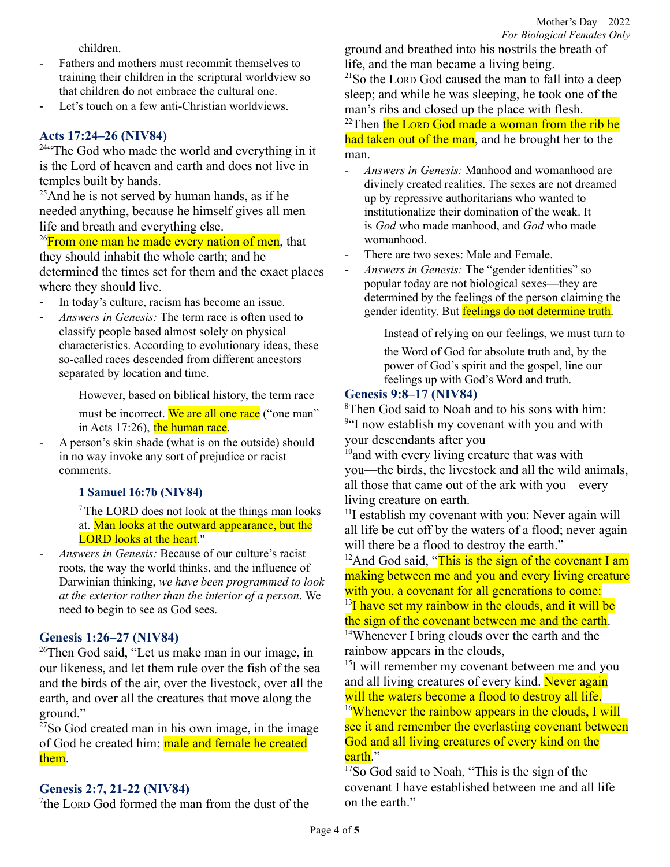children.

- Fathers and mothers must recommit themselves to training their children in the scriptural worldview so that children do not embrace the cultural one.
- Let's touch on a few anti-Christian worldviews.

#### **Acts 17:24–26 (NIV84)**

<sup>24"</sup>The God who made the world and everything in it is the Lord of heaven and earth and does not live in temples built by hands.

<sup>25</sup>And he is not served by human hands, as if he needed anything, because he himself gives all men life and breath and everything else.

 $^{26}$ From one man he made every nation of men, that they should inhabit the whole earth; and he determined the times set for them and the exact places where they should live.

- In today's culture, racism has become an issue.
- *Answers in Genesis:* The term race is often used to classify people based almost solely on physical characteristics. According to evolutionary ideas, these so-called races descended from different ancestors separated by location and time.

However, based on biblical history, the term race

must be incorrect. We are all one race ("one man" in Acts 17:26), the human race.

A person's skin shade (what is on the outside) should in no way invoke any sort of prejudice or racist comments.

#### **1 Samuel 16:7b (NIV84)**

<sup>7</sup>The LORD does not look at the things man looks at. Man looks at the outward appearance, but the LORD looks at the heart."

- *Answers in Genesis:* Because of our culture's racist roots, the way the world thinks, and the influence of Darwinian thinking, *we have been programmed to look at the exterior rather than the interior of a person*. We need to begin to see as God sees.

#### **Genesis 1:26–27 (NIV84)**

<sup>26</sup>Then God said, "Let us make man in our image, in our likeness, and let them rule over the fish of the sea and the birds of the air, over the livestock, over all the earth, and over all the creatures that move along the ground."

<sup>27</sup>So God created man in his own image, in the image of God he created him; male and female he created them.

## **Genesis 2:7, 21-22 (NIV84)**

7 the LORD God formed the man from the dust of the

ground and breathed into his nostrils the breath of life, and the man became a living being.

 $21$ So the LORD God caused the man to fall into a deep sleep; and while he was sleeping, he took one of the man's ribs and closed up the place with flesh.  $22$ Then the LORD God made a woman from the rib he

had taken out of the man, and he brought her to the man.

- *Answers in Genesis:* Manhood and womanhood are divinely created realities. The sexes are not dreamed up by repressive authoritarians who wanted to institutionalize their domination of the weak. It is *God* who made manhood, and *God* who made womanhood.
- There are two sexes: Male and Female.
- *Answers in Genesis:* The "gender identities" so popular today are not biological sexes—they are determined by the feelings of the person claiming the gender identity. But **feelings do not determine truth**.

Instead of relying on our feelings, we must turn to

the Word of God for absolute truth and, by the power of God's spirit and the gospel, line our feelings up with God's Word and truth.

## **Genesis 9:8–17 (NIV84)**

<sup>8</sup>Then God said to Noah and to his sons with him: <sup>944</sup>I now establish my covenant with you and with your descendants after you

<sup>10</sup> and with every living creature that was with you—the birds, the livestock and all the wild animals, all those that came out of the ark with you—every living creature on earth.

<sup>11</sup>I establish my covenant with you: Never again will all life be cut off by the waters of a flood; never again will there be a flood to destroy the earth."

 $12$ And God said, "This is the sign of the covenant I am making between me and you and every living creature with you, a covenant for all generations to come:  $13$ I have set my rainbow in the clouds, and it will be the sign of the covenant between me and the earth.

<sup>14</sup>Whenever I bring clouds over the earth and the rainbow appears in the clouds,

<sup>15</sup>I will remember my covenant between me and you and all living creatures of every kind. Never again will the waters become a flood to destroy all life.  $16$ Whenever the rainbow appears in the clouds, I will see it and remember the everlasting covenant between God and all living creatures of every kind on the earth."

 $17S<sub>0</sub>$  God said to Noah, "This is the sign of the covenant I have established between me and all life on the earth."